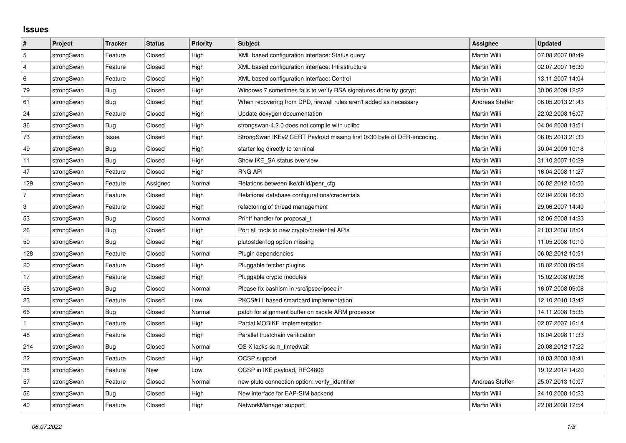## **Issues**

| $\vert$ #      | Project    | <b>Tracker</b> | <b>Status</b> | <b>Priority</b> | <b>Subject</b>                                                         | <b>Assignee</b>     | <b>Updated</b>   |
|----------------|------------|----------------|---------------|-----------------|------------------------------------------------------------------------|---------------------|------------------|
| $\mathbf 5$    | strongSwan | Feature        | Closed        | High            | XML based configuration interface: Status query                        | Martin Willi        | 07.08.2007 08:49 |
| $\overline{4}$ | strongSwan | Feature        | Closed        | High            | XML based configuration interface: Infrastructure                      | Martin Willi        | 02.07.2007 16:30 |
| $\,6\,$        | strongSwan | Feature        | Closed        | High            | XML based configuration interface: Control                             | Martin Willi        | 13.11.2007 14:04 |
| 79             | strongSwan | Bug            | Closed        | High            | Windows 7 sometimes fails to verify RSA signatures done by gcrypt      | Martin Willi        | 30.06.2009 12:22 |
| 61             | strongSwan | Bug            | Closed        | High            | When recovering from DPD, firewall rules aren't added as necessary     | Andreas Steffen     | 06.05.2013 21:43 |
| 24             | strongSwan | Feature        | Closed        | High            | Update doxygen documentation                                           | Martin Willi        | 22.02.2008 16:07 |
| 36             | strongSwan | Bug            | Closed        | High            | strongswan-4.2.0 does not compile with uclibe                          | Martin Willi        | 04.04.2008 13:51 |
| 73             | strongSwan | Issue          | Closed        | High            | StrongSwan IKEv2 CERT Payload missing first 0x30 byte of DER-encoding. | Martin Willi        | 06.05.2013 21:33 |
| 49             | strongSwan | Bug            | Closed        | High            | starter log directly to terminal                                       | Martin Willi        | 30.04.2009 10:18 |
| 11             | strongSwan | Bug            | Closed        | High            | Show IKE SA status overview                                            | Martin Willi        | 31.10.2007 10:29 |
| 47             | strongSwan | Feature        | Closed        | High            | <b>RNG API</b>                                                         | Martin Willi        | 16.04.2008 11:27 |
| 129            | strongSwan | Feature        | Assigned      | Normal          | Relations between ike/child/peer_cfg                                   | Martin Willi        | 06.02.2012 10:50 |
| $\overline{7}$ | strongSwan | Feature        | Closed        | High            | Relational database configurations/credentials                         | Martin Willi        | 02.04.2008 16:30 |
| 3              | strongSwan | Feature        | Closed        | High            | refactoring of thread management                                       | Martin Willi        | 29.06.2007 14:49 |
| 53             | strongSwan | Bug            | Closed        | Normal          | Printf handler for proposal t                                          | Martin Willi        | 12.06.2008 14:23 |
| 26             | strongSwan | Bug            | Closed        | High            | Port all tools to new crypto/credential APIs                           | Martin Willi        | 21.03.2008 18:04 |
| 50             | strongSwan | Bug            | Closed        | High            | plutostderrlog option missing                                          | Martin Willi        | 11.05.2008 10:10 |
| 128            | strongSwan | Feature        | Closed        | Normal          | Plugin dependencies                                                    | Martin Willi        | 06.02.2012 10:51 |
| 20             | strongSwan | Feature        | Closed        | High            | Pluggable fetcher plugins                                              | Martin Willi        | 18.02.2008 09:58 |
| 17             | strongSwan | Feature        | Closed        | High            | Pluggable crypto modules                                               | Martin Willi        | 15.02.2008 09:36 |
| 58             | strongSwan | Bug            | Closed        | Normal          | Please fix bashism in /src/ipsec/ipsec.in                              | Martin Willi        | 16.07.2008 09:08 |
| 23             | strongSwan | Feature        | Closed        | Low             | PKCS#11 based smartcard implementation                                 | Martin Willi        | 12.10.2010 13:42 |
| 66             | strongSwan | Bug            | Closed        | Normal          | patch for alignment buffer on xscale ARM processor                     | Martin Willi        | 14.11.2008 15:35 |
|                | strongSwan | Feature        | Closed        | High            | Partial MOBIKE implementation                                          | Martin Willi        | 02.07.2007 16:14 |
| 48             | strongSwan | Feature        | Closed        | High            | Parallel trustchain verification                                       | Martin Willi        | 16.04.2008 11:33 |
| 214            | strongSwan | <b>Bug</b>     | Closed        | Normal          | OS X lacks sem timedwait                                               | Martin Willi        | 20.08.2012 17:22 |
| 22             | strongSwan | Feature        | Closed        | High            | OCSP support                                                           | Martin Willi        | 10.03.2008 18:41 |
| 38             | strongSwan | Feature        | New           | Low             | OCSP in IKE payload, RFC4806                                           |                     | 19.12.2014 14:20 |
| 57             | strongSwan | Feature        | Closed        | Normal          | new pluto connection option: verify identifier                         | Andreas Steffen     | 25.07.2013 10:07 |
| 56             | strongSwan | Bug            | Closed        | High            | New interface for EAP-SIM backend                                      | Martin Willi        | 24.10.2008 10:23 |
| 40             | strongSwan | Feature        | Closed        | High            | NetworkManager support                                                 | <b>Martin Willi</b> | 22.08.2008 12:54 |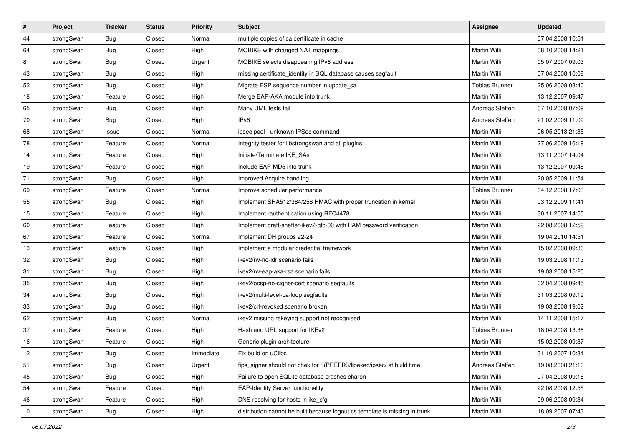| $\vert$ # | Project    | <b>Tracker</b> | <b>Status</b> | Priority  | <b>Subject</b>                                                              | <b>Assignee</b>       | <b>Updated</b>   |
|-----------|------------|----------------|---------------|-----------|-----------------------------------------------------------------------------|-----------------------|------------------|
| 44        | strongSwan | <b>Bug</b>     | Closed        | Normal    | multiple copies of ca certificate in cache                                  |                       | 07.04.2008 10:51 |
| 64        | strongSwan | Bug            | Closed        | High      | MOBIKE with changed NAT mappings                                            | Martin Willi          | 08.10.2008 14:21 |
| 8         | strongSwan | <b>Bug</b>     | Closed        | Urgent    | MOBIKE selects disappearing IPv6 address                                    | <b>Martin Willi</b>   | 05.07.2007 09:03 |
| 43        | strongSwan | <b>Bug</b>     | Closed        | High      | missing certificate_identity in SQL database causes segfault                | Martin Willi          | 07.04.2008 10:08 |
| 52        | strongSwan | Bug            | Closed        | High      | Migrate ESP sequence number in update_sa                                    | <b>Tobias Brunner</b> | 25.06.2008 08:40 |
| 18        | strongSwan | Feature        | Closed        | High      | Merge EAP-AKA module into trunk                                             | Martin Willi          | 13.12.2007 09:47 |
| 65        | strongSwan | Bug            | Closed        | High      | Many UML tests fail                                                         | Andreas Steffen       | 07.10.2008 07:09 |
| 70        | strongSwan | <b>Bug</b>     | Closed        | High      | IPv6                                                                        | Andreas Steffen       | 21.02.2009 11:09 |
| 68        | strongSwan | Issue          | Closed        | Normal    | ipsec pool - unknown IPSec command                                          | Martin Willi          | 06.05.2013 21:35 |
| 78        | strongSwan | Feature        | Closed        | Normal    | Integrity tester for libstrongswan and all plugins.                         | Martin Willi          | 27.06.2009 16:19 |
| 14        | strongSwan | Feature        | Closed        | High      | Initiate/Terminate IKE_SAs                                                  | Martin Willi          | 13.11.2007 14:04 |
| 19        | strongSwan | Feature        | Closed        | High      | Include EAP-MD5 into trunk                                                  | Martin Willi          | 13.12.2007 09:48 |
| 71        | strongSwan | Bug            | Closed        | High      | Improved Acquire handling                                                   | Martin Willi          | 20.05.2009 11:54 |
| 69        | strongSwan | Feature        | Closed        | Normal    | Improve scheduler performance                                               | <b>Tobias Brunner</b> | 04.12.2008 17:03 |
| 55        | strongSwan | Bug            | Closed        | High      | Implement SHA512/384/256 HMAC with proper truncation in kernel              | <b>Martin Willi</b>   | 03.12.2009 11:41 |
| 15        | strongSwan | Feature        | Closed        | High      | Implement rauthentication using RFC4478                                     | Martin Willi          | 30.11.2007 14:55 |
| 60        | strongSwan | Feature        | Closed        | High      | Implement draft-sheffer-ikev2-gtc-00 with PAM password verification         | Martin Willi          | 22.08.2008 12:59 |
| 67        | strongSwan | Feature        | Closed        | Normal    | Implement DH groups 22-24                                                   | Martin Willi          | 19.04.2010 14:51 |
| 13        | strongSwan | Feature        | Closed        | High      | Implement a modular credential framework                                    | Martin Willi          | 15.02.2008 09:36 |
| 32        | strongSwan | Bug            | Closed        | High      | ikev2/rw-no-idr scenario fails                                              | Martin Willi          | 19.03.2008 11:13 |
| 31        | strongSwan | <b>Bug</b>     | Closed        | High      | ikev2/rw-eap-aka-rsa scenario fails                                         | Martin Willi          | 19.03.2008 15:25 |
| 35        | strongSwan | <b>Bug</b>     | Closed        | High      | ikev2/ocsp-no-signer-cert scenario segfaults                                | Martin Willi          | 02.04.2008 09:45 |
| 34        | strongSwan | Bug            | Closed        | High      | ikev2/multi-level-ca-loop segfaults                                         | Martin Willi          | 31.03.2008 09:19 |
| 33        | strongSwan | Bug            | Closed        | High      | ikev2/crl-revoked scenario broken                                           | Martin Willi          | 19.03.2008 19:02 |
| 62        | strongSwan | <b>Bug</b>     | Closed        | Normal    | ikev2 missing rekeying support not recognised                               | Martin Willi          | 14.11.2008 15:17 |
| 37        | strongSwan | Feature        | Closed        | High      | Hash and URL support for IKEv2                                              | <b>Tobias Brunner</b> | 18.04.2008 13:38 |
| 16        | strongSwan | Feature        | Closed        | High      | Generic plugin architecture                                                 | Martin Willi          | 15.02.2008 09:37 |
| 12        | strongSwan | <b>Bug</b>     | Closed        | Immediate | Fix build on uClibc                                                         | Martin Willi          | 31.10.2007 10:34 |
| 51        | strongSwan | <b>Bug</b>     | Closed        | Urgent    | fips_signer should not chek for \$(PREFIX)/libexec/ipsec/ at build time     | Andreas Steffen       | 19.08.2008 21:10 |
| 45        | strongSwan | <b>Bug</b>     | Closed        | High      | Failure to open SQLite database crashes charon                              | Martin Willi          | 07.04.2008 09:16 |
| 54        | strongSwan | Feature        | Closed        | High      | <b>EAP-Identity Server functionality</b>                                    | Martin Willi          | 22.08.2008 12:55 |
| 46        | strongSwan | Feature        | Closed        | High      | DNS resolving for hosts in ike_cfg                                          | Martin Willi          | 09.06.2008 09:34 |
| 10        | strongSwan | Bug            | Closed        | High      | distribution cannot be built because logout.cs template is missing in trunk | Martin Willi          | 18.09.2007 07:43 |